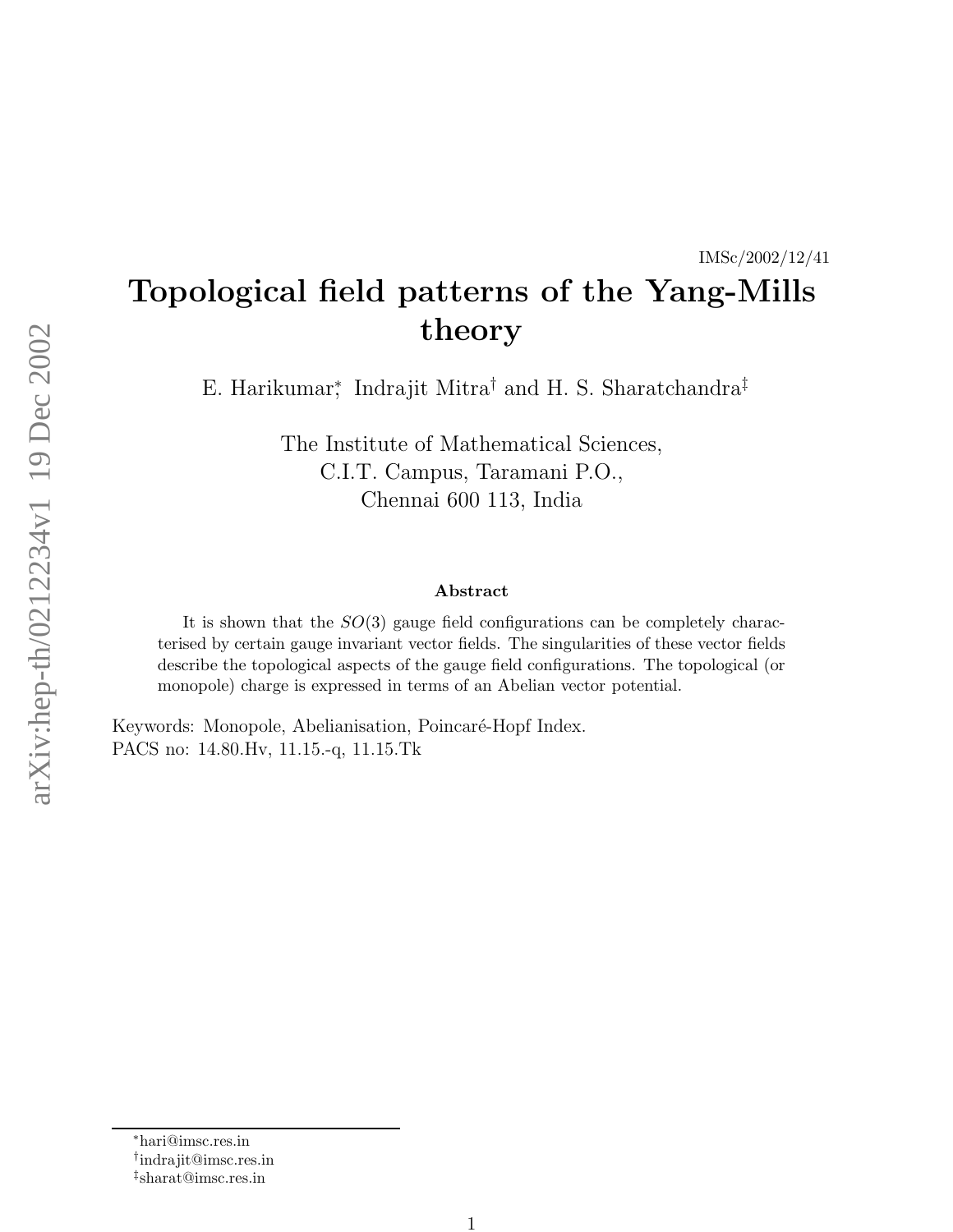#### IMSc/2002/12/41

# Topological field patterns of the Yang-Mills theory

E. Harikumar,\* Indrajit Mitra† and H. S. Sharatchandra‡

The Institute of Mathematical Sciences, C.I.T. Campus, Taramani P.O., Chennai 600 113, India

#### Abstract

It is shown that the  $SO(3)$  gauge field configurations can be completely characterised by certain gauge invariant vector fields. The singularities of these vector fields describe the topological aspects of the gauge field configurations. The topological (or monopole) charge is expressed in terms of an Abelian vector potential.

Keywords: Monopole, Abelianisation, Poincaré-Hopf Index. PACS no: 14.80.Hv, 11.15.-q, 11.15.Tk

<sup>∗</sup>hari@imsc.res.in

<sup>†</sup> indrajit@imsc.res.in

<sup>‡</sup> sharat@imsc.res.in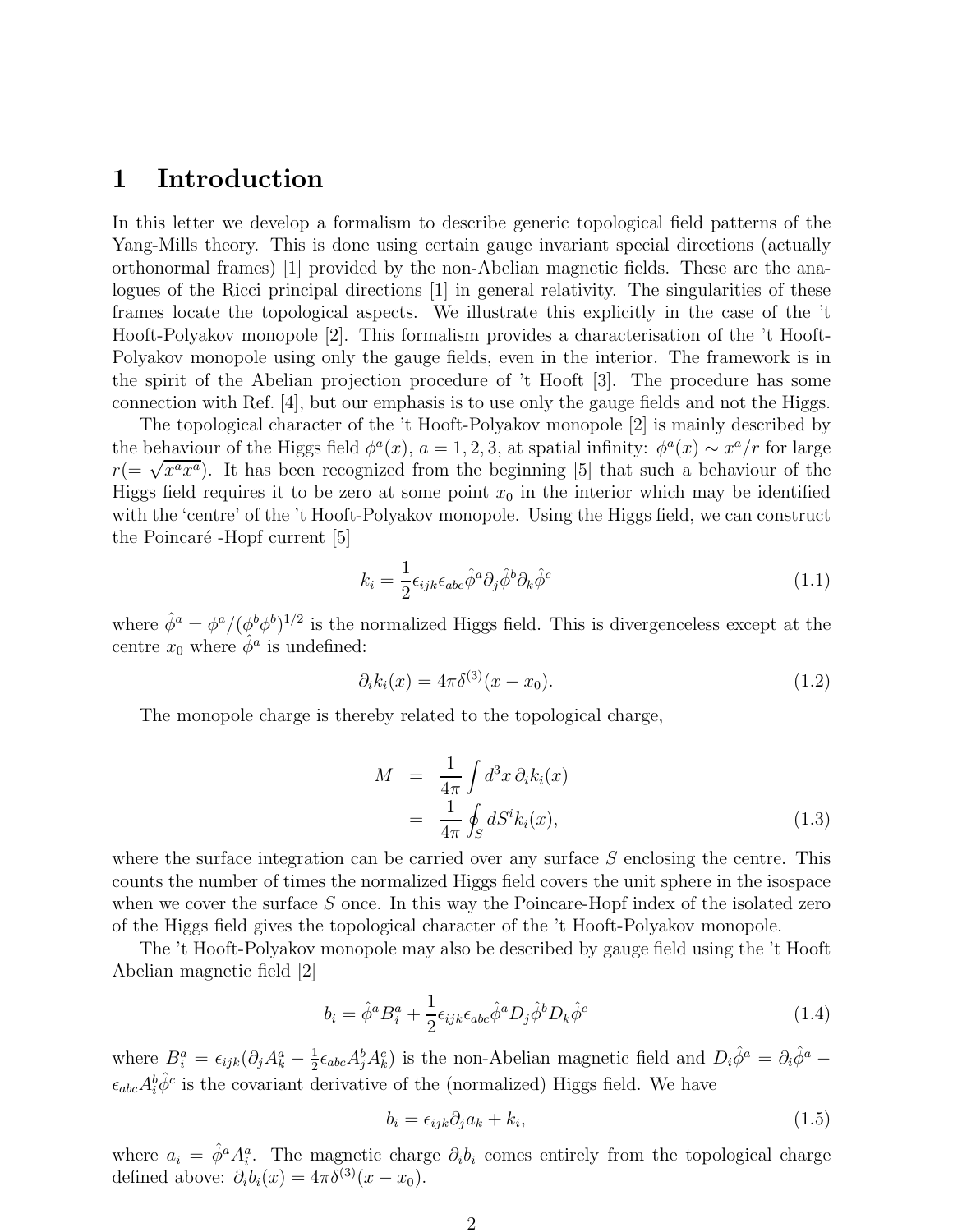## 1 Introduction

In this letter we develop a formalism to describe generic topological field patterns of the Yang-Mills theory. This is done using certain gauge invariant special directions (actually orthonormal frames) [1] provided by the non-Abelian magnetic fields. These are the analogues of the Ricci principal directions [1] in general relativity. The singularities of these frames locate the topological aspects. We illustrate this explicitly in the case of the 't Hooft-Polyakov monopole [2]. This formalism provides a characterisation of the 't Hooft-Polyakov monopole using only the gauge fields, even in the interior. The framework is in the spirit of the Abelian projection procedure of 't Hooft [3]. The procedure has some connection with Ref. [4], but our emphasis is to use only the gauge fields and not the Higgs.

The topological character of the 't Hooft-Polyakov monopole [2] is mainly described by the behaviour of the Higgs field  $\phi^a(x)$ ,  $a = 1, 2, 3$ , at spatial infinity:  $\phi^a(x) \sim x^a/r$  for large  $r (= \sqrt{x^a x^a})$ . It has been recognized from the beginning [5] that such a behaviour of the Higgs field requires it to be zero at some point  $x_0$  in the interior which may be identified with the 'centre' of the 't Hooft-Polyakov monopole. Using the Higgs field, we can construct the Poincaré -Hopf current [5]

$$
k_i = \frac{1}{2} \epsilon_{ijk} \epsilon_{abc} \hat{\phi}^a \partial_j \hat{\phi}^b \partial_k \hat{\phi}^c \tag{1.1}
$$

where  $\hat{\phi}^a = \phi^a / (\phi^b \phi^b)^{1/2}$  is the normalized Higgs field. This is divergenceless except at the centre  $x_0$  where  $\hat{\phi}^a$  is undefined:

$$
\partial_i k_i(x) = 4\pi \delta^{(3)}(x - x_0). \tag{1.2}
$$

The monopole charge is thereby related to the topological charge,

$$
M = \frac{1}{4\pi} \int d^3x \, \partial_i k_i(x)
$$
  
= 
$$
\frac{1}{4\pi} \oint_S dS^i k_i(x),
$$
 (1.3)

where the surface integration can be carried over any surface  $S$  enclosing the centre. This counts the number of times the normalized Higgs field covers the unit sphere in the isospace when we cover the surface  $S$  once. In this way the Poincare-Hopf index of the isolated zero of the Higgs field gives the topological character of the 't Hooft-Polyakov monopole.

The 't Hooft-Polyakov monopole may also be described by gauge field using the 't Hooft Abelian magnetic field [2]

$$
b_i = \hat{\phi}^a B_i^a + \frac{1}{2} \epsilon_{ijk} \epsilon_{abc} \hat{\phi}^a D_j \hat{\phi}^b D_k \hat{\phi}^c
$$
 (1.4)

where  $B_i^a = \epsilon_{ijk} (\partial_j A_k^a - \frac{1}{2})$  $\frac{1}{2}\epsilon_{abc}A_j^bA_k^c$ ) is the non-Abelian magnetic field and  $D_i\hat{\phi}^a = \partial_i\hat{\phi}^a$  $\epsilon_{abc} A_i^b \hat{\phi}^c$  is the covariant derivative of the (normalized) Higgs field. We have

$$
b_i = \epsilon_{ijk}\partial_j a_k + k_i,\tag{1.5}
$$

where  $a_i = \hat{\phi}^a A_i^a$ . The magnetic charge  $\partial_i b_i$  comes entirely from the topological charge defined above:  $\partial_i b_i(x) = 4\pi \delta^{(3)}(x - x_0)$ .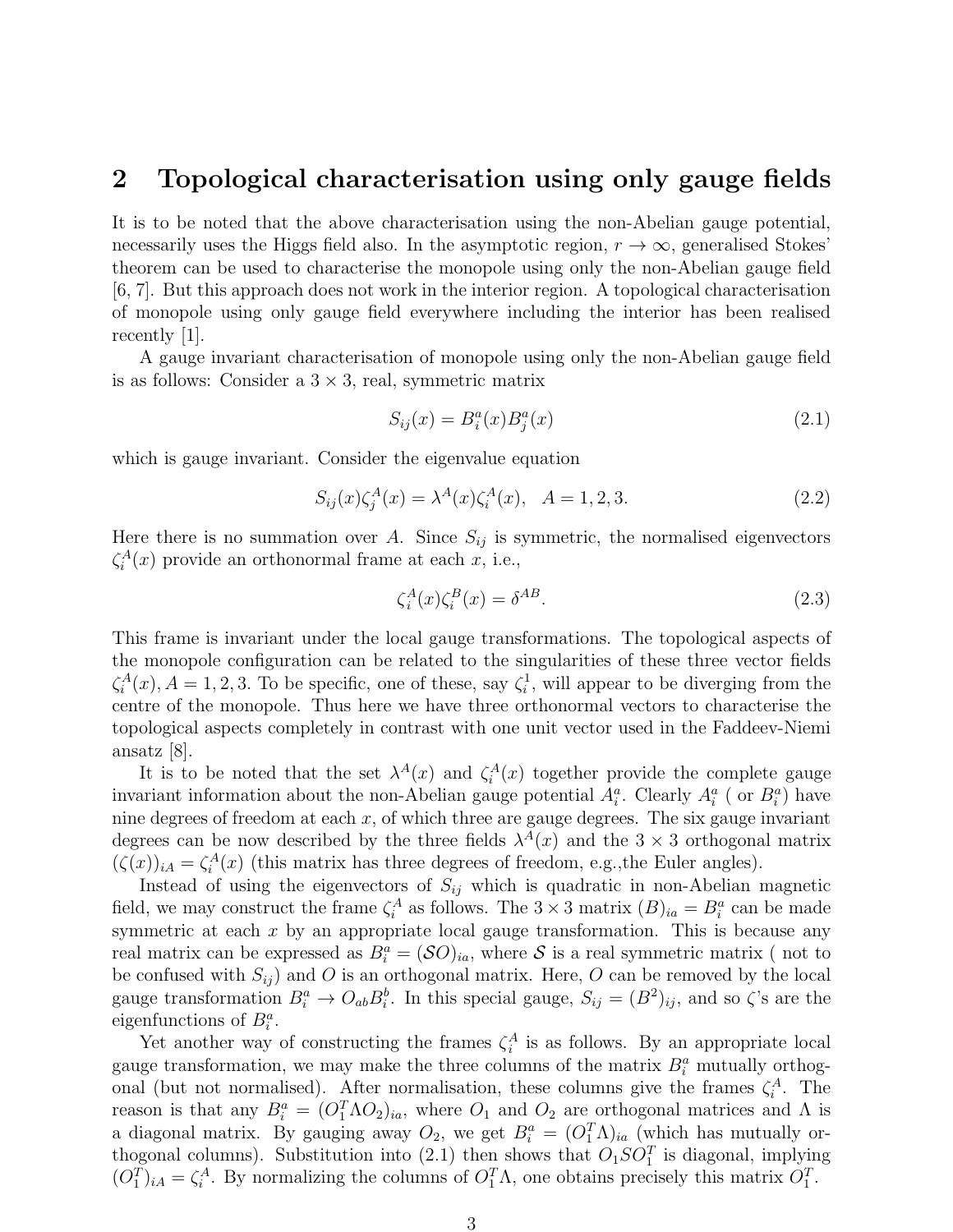### 2 Topological characterisation using only gauge fields

It is to be noted that the above characterisation using the non-Abelian gauge potential, necessarily uses the Higgs field also. In the asymptotic region,  $r \to \infty$ , generalised Stokes' theorem can be used to characterise the monopole using only the non-Abelian gauge field [6, 7]. But this approach does not work in the interior region. A topological characterisation of monopole using only gauge field everywhere including the interior has been realised recently [1].

A gauge invariant characterisation of monopole using only the non-Abelian gauge field is as follows: Consider a  $3 \times 3$ , real, symmetric matrix

$$
S_{ij}(x) = B_i^a(x)B_j^a(x)
$$
\n(2.1)

which is gauge invariant. Consider the eigenvalue equation

$$
S_{ij}(x)\zeta_j^A(x) = \lambda^A(x)\zeta_i^A(x), \quad A = 1, 2, 3. \tag{2.2}
$$

Here there is no summation over A. Since  $S_{ij}$  is symmetric, the normalised eigenvectors  $\zeta_i^A(x)$  provide an orthonormal frame at each x, i.e.,

$$
\zeta_i^A(x)\zeta_i^B(x) = \delta^{AB}.\tag{2.3}
$$

This frame is invariant under the local gauge transformations. The topological aspects of the monopole configuration can be related to the singularities of these three vector fields  $\zeta_i^A(x)$ ,  $A = 1, 2, 3$ . To be specific, one of these, say  $\zeta_i^1$ , will appear to be diverging from the centre of the monopole. Thus here we have three orthonormal vectors to characterise the topological aspects completely in contrast with one unit vector used in the Faddeev-Niemi ansatz [8].

It is to be noted that the set  $\lambda^A(x)$  and  $\zeta^A_i(x)$  together provide the complete gauge invariant information about the non-Abelian gauge potential  $A_i^a$ . Clearly  $A_i^a$  (or  $B_i^a$ ) have nine degrees of freedom at each  $x$ , of which three are gauge degrees. The six gauge invariant degrees can be now described by the three fields  $\lambda^{A}(x)$  and the  $3 \times 3$  orthogonal matrix  $(\zeta(x))_{iA} = \zeta_i^A(x)$  (this matrix has three degrees of freedom, e.g., the Euler angles).

Instead of using the eigenvectors of  $S_{ij}$  which is quadratic in non-Abelian magnetic field, we may construct the frame  $\zeta_i^A$  as follows. The  $3 \times 3$  matrix  $(B)_{ia} = B_i^a$  can be made symmetric at each  $x$  by an appropriate local gauge transformation. This is because any real matrix can be expressed as  $B_i^a = (\mathcal{S}O)_{ia}$ , where  $\mathcal{S}$  is a real symmetric matrix (not to be confused with  $S_{ij}$  and O is an orthogonal matrix. Here, O can be removed by the local gauge transformation  $B_i^a \to O_{ab} B_i^b$ . In this special gauge,  $S_{ij} = (B^2)_{ij}$ , and so  $\zeta$ 's are the eigenfunctions of  $B_i^a$ .

Yet another way of constructing the frames  $\zeta_i^A$  is as follows. By an appropriate local gauge transformation, we may make the three columns of the matrix  $B_i^a$  mutually orthogonal (but not normalised). After normalisation, these columns give the frames  $\zeta_i^A$ . The reason is that any  $B_i^a = (O_1^T \Lambda O_2)_{ia}$ , where  $O_1$  and  $O_2$  are orthogonal matrices and  $\Lambda$  is a diagonal matrix. By gauging away  $O_2$ , we get  $B_i^a = (O_1^T \Lambda)_{ia}$  (which has mutually orthogonal columns). Substitution into (2.1) then shows that  $O_1SO_1^T$  is diagonal, implying  $(O_1^T)_{iA} = \zeta_i^A$ . By normalizing the columns of  $O_1^T \Lambda$ , one obtains precisely this matrix  $O_1^T$ .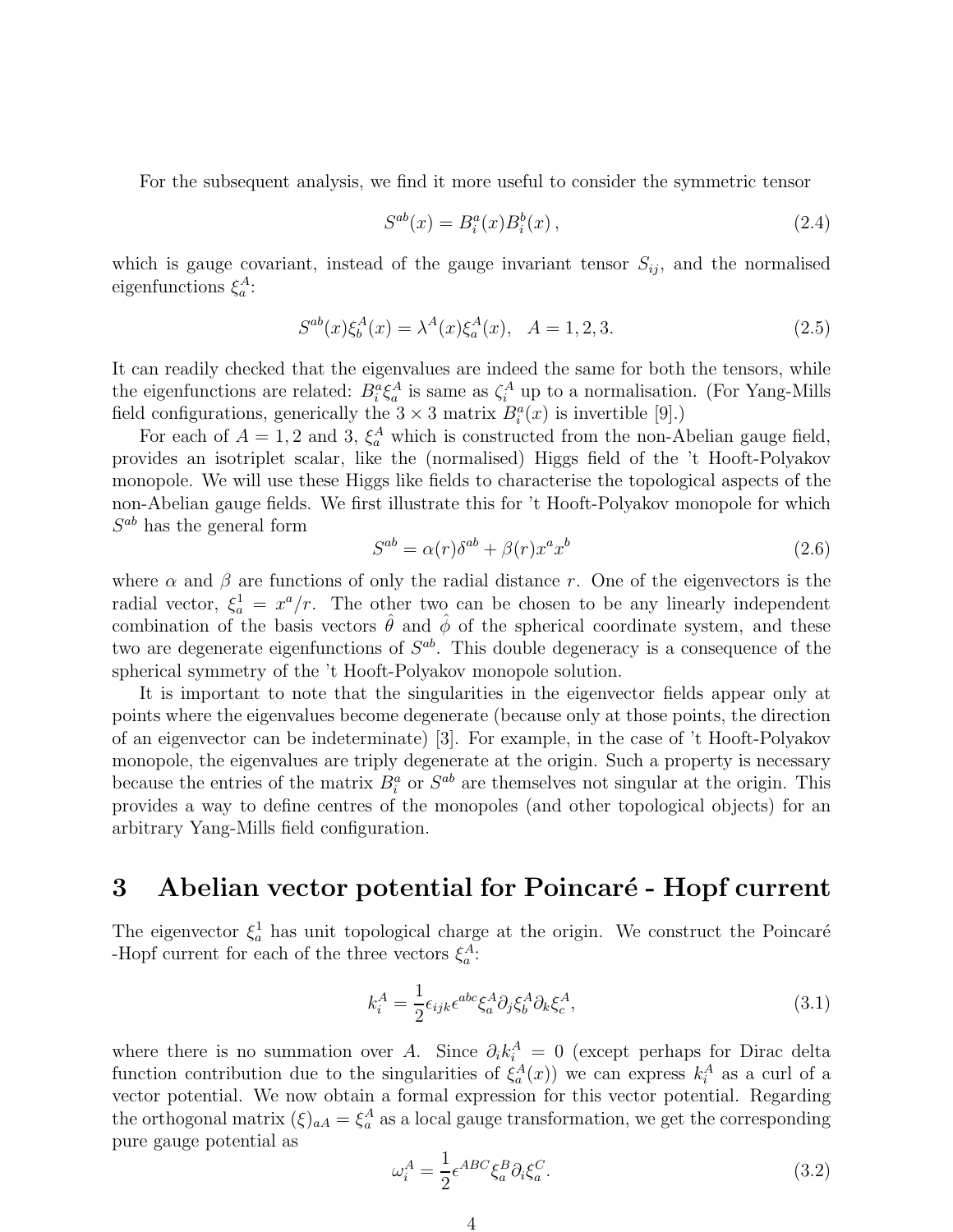For the subsequent analysis, we find it more useful to consider the symmetric tensor

$$
S^{ab}(x) = B_i^a(x)B_i^b(x), \qquad (2.4)
$$

which is gauge covariant, instead of the gauge invariant tensor  $S_{ij}$ , and the normalised eigenfunctions  $\xi_a^A$ :

$$
S^{ab}(x)\xi_b^A(x) = \lambda^A(x)\xi_a^A(x), \quad A = 1, 2, 3. \tag{2.5}
$$

It can readily checked that the eigenvalues are indeed the same for both the tensors, while the eigenfunctions are related:  $B_i^a \xi_a^A$  is same as  $\zeta_i^A$  up to a normalisation. (For Yang-Mills field configurations, generically the  $3 \times 3$  matrix  $B_i^a(x)$  is invertible [9].)

For each of  $A = 1, 2$  and 3,  $\xi_a^A$  which is constructed from the non-Abelian gauge field, provides an isotriplet scalar, like the (normalised) Higgs field of the 't Hooft-Polyakov monopole. We will use these Higgs like fields to characterise the topological aspects of the non-Abelian gauge fields. We first illustrate this for 't Hooft-Polyakov monopole for which  $S^{ab}$  has the general form

$$
S^{ab} = \alpha(r)\delta^{ab} + \beta(r)x^a x^b \tag{2.6}
$$

where  $\alpha$  and  $\beta$  are functions of only the radial distance r. One of the eigenvectors is the radial vector,  $\xi_a^1 = x^a/r$ . The other two can be chosen to be any linearly independent combination of the basis vectors  $\hat{\theta}$  and  $\hat{\phi}$  of the spherical coordinate system, and these two are degenerate eigenfunctions of  $S^{ab}$ . This double degeneracy is a consequence of the spherical symmetry of the 't Hooft-Polyakov monopole solution.

It is important to note that the singularities in the eigenvector fields appear only at points where the eigenvalues become degenerate (because only at those points, the direction of an eigenvector can be indeterminate) [3]. For example, in the case of 't Hooft-Polyakov monopole, the eigenvalues are triply degenerate at the origin. Such a property is necessary because the entries of the matrix  $B_i^a$  or  $S^{ab}$  are themselves not singular at the origin. This provides a way to define centres of the monopoles (and other topological objects) for an arbitrary Yang-Mills field configuration.

## 3 Abelian vector potential for Poincaré - Hopf current

The eigenvector  $\xi_a^1$  has unit topological charge at the origin. We construct the Poincaré -Hopf current for each of the three vectors  $\xi_a^A$ :

$$
k_i^A = \frac{1}{2} \epsilon_{ijk} \epsilon^{abc} \xi_a^A \partial_j \xi_b^A \partial_k \xi_c^A, \qquad (3.1)
$$

where there is no summation over A. Since  $\partial_i k_i^A = 0$  (except perhaps for Dirac delta function contribution due to the singularities of  $\xi_a^A(x)$  we can express  $k_i^A$  as a curl of a vector potential. We now obtain a formal expression for this vector potential. Regarding the orthogonal matrix  $(\xi)_{aA} = \xi_a^A$  as a local gauge transformation, we get the corresponding pure gauge potential as

$$
\omega_i^A = \frac{1}{2} \epsilon^{ABC} \xi_a^B \partial_i \xi_a^C.
$$
\n(3.2)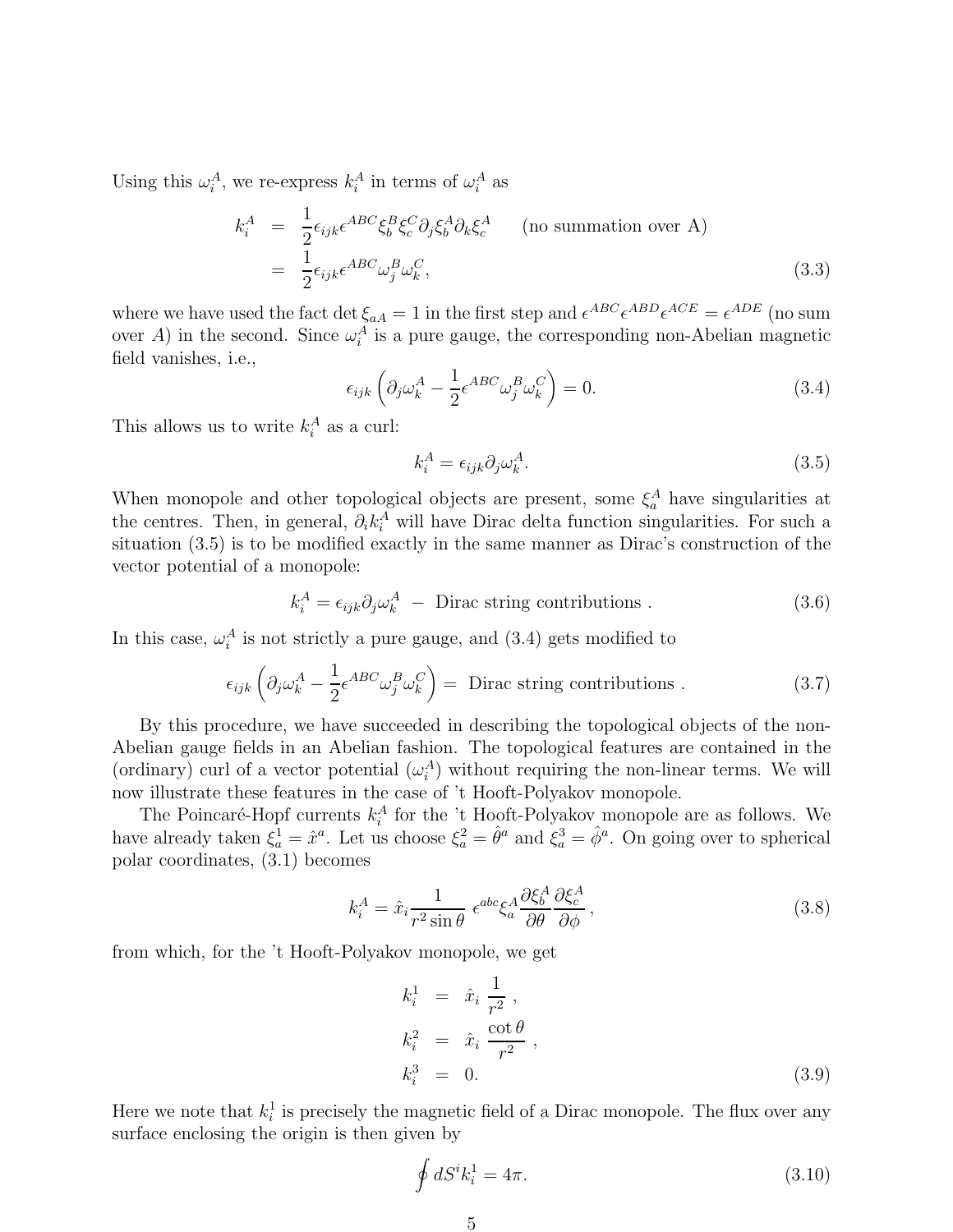Using this  $\omega_i^A$ , we re-express  $k_i^A$  in terms of  $\omega_i^A$  as

$$
k_i^A = \frac{1}{2} \epsilon_{ijk} \epsilon^{ABC} \xi_b^B \xi_c^C \partial_j \xi_b^A \partial_k \xi_c^A \qquad \text{(no summation over A)}
$$
  
= 
$$
\frac{1}{2} \epsilon_{ijk} \epsilon^{ABC} \omega_j^B \omega_k^C,
$$
 (3.3)

where we have used the fact det  $\xi_{aA} = 1$  in the first step and  $\epsilon^{ABC} \epsilon^{ABD} \epsilon^{ACE} = \epsilon^{ADE}$  (no sum over A) in the second. Since  $\omega_i^A$  is a pure gauge, the corresponding non-Abelian magnetic field vanishes, i.e.,

$$
\epsilon_{ijk} \left( \partial_j \omega_k^A - \frac{1}{2} \epsilon^{ABC} \omega_j^B \omega_k^C \right) = 0. \tag{3.4}
$$

This allows us to write  $k_i^A$  as a curl:

$$
k_i^A = \epsilon_{ijk} \partial_j \omega_k^A. \tag{3.5}
$$

When monopole and other topological objects are present, some  $\xi_a^A$  have singularities at the centres. Then, in general,  $\partial_i k_i^A$  will have Dirac delta function singularities. For such a situation (3.5) is to be modified exactly in the same manner as Dirac's construction of the vector potential of a monopole:

$$
k_i^A = \epsilon_{ijk}\partial_j \omega_k^A - \text{Dirac string contributions} \tag{3.6}
$$

In this case,  $\omega_i^A$  is not strictly a pure gauge, and  $(3.4)$  gets modified to

$$
\epsilon_{ijk} \left( \partial_j \omega_k^A - \frac{1}{2} \epsilon^{ABC} \omega_j^B \omega_k^C \right) = \text{ Dirac string contributions .}
$$
 (3.7)

By this procedure, we have succeeded in describing the topological objects of the non-Abelian gauge fields in an Abelian fashion. The topological features are contained in the (ordinary) curl of a vector potential  $(\omega_i^A)$  without requiring the non-linear terms. We will now illustrate these features in the case of 't Hooft-Polyakov monopole.

The Poincaré-Hopf currents  $k_i^A$  for the 't Hooft-Polyakov monopole are as follows. We have already taken  $\xi_a^1 = \hat{x}^a$ . Let us choose  $\xi_a^2 = \hat{\theta}^a$  and  $\xi_a^3 = \hat{\phi}^a$ . On going over to spherical polar coordinates, (3.1) becomes

$$
k_i^A = \hat{x}_i \frac{1}{r^2 \sin \theta} \epsilon^{abc} \xi_a^A \frac{\partial \xi_b^A}{\partial \theta} \frac{\partial \xi_c^A}{\partial \phi}, \qquad (3.8)
$$

from which, for the 't Hooft-Polyakov monopole, we get

$$
k_i^1 = \hat{x}_i \frac{1}{r^2},
$$
  
\n
$$
k_i^2 = \hat{x}_i \frac{\cot \theta}{r^2},
$$
  
\n
$$
k_i^3 = 0.
$$
\n(3.9)

Here we note that  $k_i^1$  is precisely the magnetic field of a Dirac monopole. The flux over any surface enclosing the origin is then given by

$$
\oint dS^i k_i^1 = 4\pi. \tag{3.10}
$$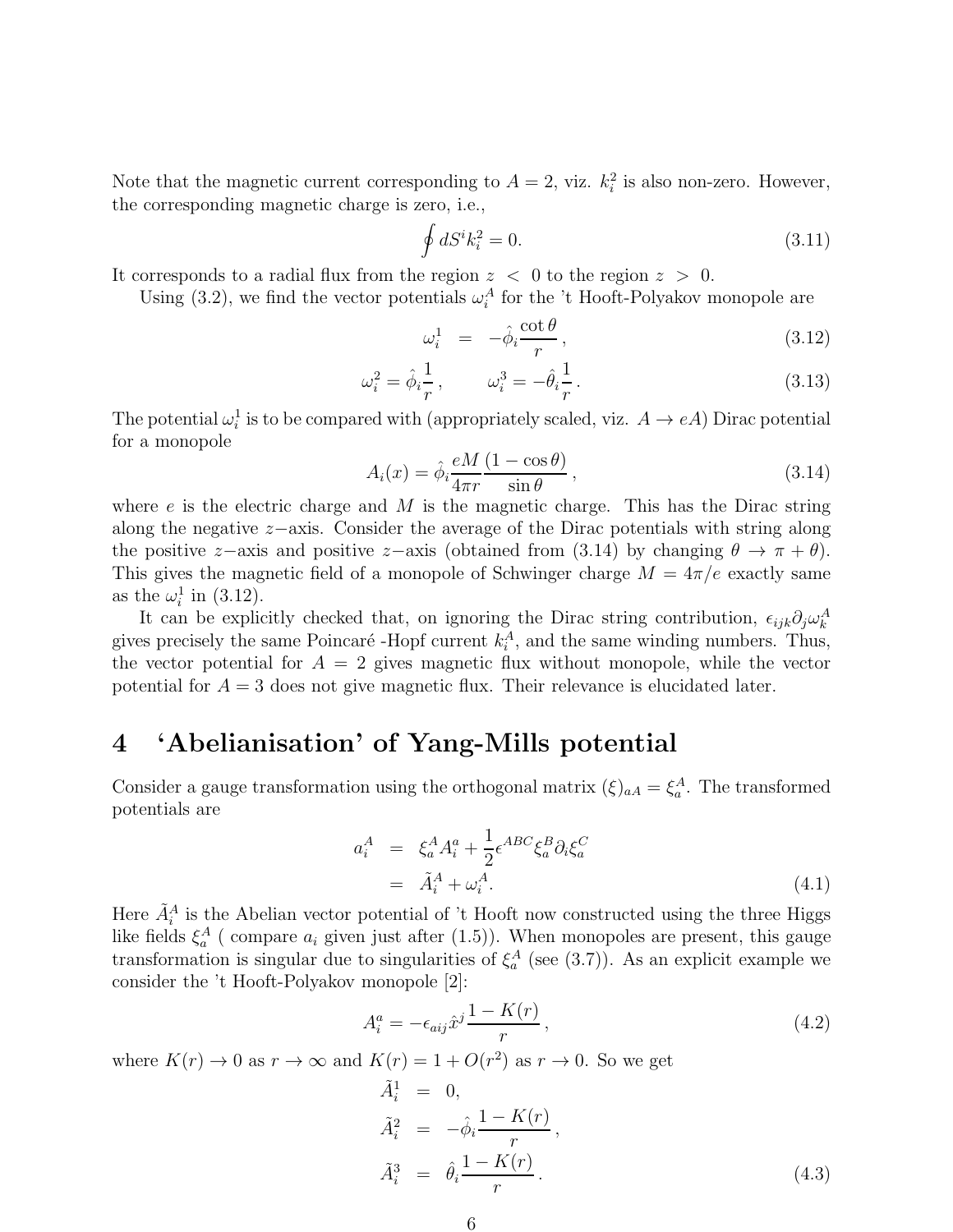Note that the magnetic current corresponding to  $A = 2$ , viz.  $k_i^2$  is also non-zero. However, the corresponding magnetic charge is zero, i.e.,

$$
\oint dS^i k_i^2 = 0. \tag{3.11}
$$

It corresponds to a radial flux from the region  $z < 0$  to the region  $z > 0$ .

Using (3.2), we find the vector potentials  $\omega_i^A$  for the 't Hooft-Polyakov monopole are

$$
\omega_i^1 = -\hat{\phi}_i \frac{\cot \theta}{r}, \qquad (3.12)
$$

$$
\omega_i^2 = \hat{\phi}_i \frac{1}{r}, \qquad \omega_i^3 = -\hat{\theta}_i \frac{1}{r}.
$$
\n(3.13)

The potential  $\omega_i^1$  is to be compared with (appropriately scaled, viz.  $A \to eA$ ) Dirac potential for a monopole

$$
A_i(x) = \hat{\phi}_i \frac{eM}{4\pi r} \frac{(1 - \cos \theta)}{\sin \theta}, \qquad (3.14)
$$

where  $e$  is the electric charge and M is the magnetic charge. This has the Dirac string along the negative z−axis. Consider the average of the Dirac potentials with string along the positive z–axis and positive z–axis (obtained from (3.14) by changing  $\theta \to \pi + \theta$ ). This gives the magnetic field of a monopole of Schwinger charge  $M = 4\pi/e$  exactly same as the  $\omega_i^1$  in (3.12).

It can be explicitly checked that, on ignoring the Dirac string contribution,  $\epsilon_{ijk}\partial_j\omega_k^A$ gives precisely the same Poincaré -Hopf current  $k_i^A$ , and the same winding numbers. Thus, the vector potential for  $A = 2$  gives magnetic flux without monopole, while the vector potential for  $A = 3$  does not give magnetic flux. Their relevance is elucidated later.

## 4 'Abelianisation' of Yang-Mills potential

Consider a gauge transformation using the orthogonal matrix  $(\xi)_{aA} = \xi_a^A$ . The transformed potentials are

$$
a_i^A = \xi_a^A A_i^a + \frac{1}{2} \epsilon^{ABC} \xi_a^B \partial_i \xi_a^C
$$
  
=  $\tilde{A}_i^A + \omega_i^A$ . (4.1)

Here  $\tilde{A}_i^A$  is the Abelian vector potential of 't Hooft now constructed using the three Higgs like fields  $\xi_a^A$  (compare  $a_i$  given just after (1.5)). When monopoles are present, this gauge transformation is singular due to singularities of  $\xi_a^A$  (see (3.7)). As an explicit example we consider the 't Hooft-Polyakov monopole [2]:

$$
A_i^a = -\epsilon_{aij}\hat{x}^j \frac{1 - K(r)}{r},\tag{4.2}
$$

where  $K(r) \to 0$  as  $r \to \infty$  and  $K(r) = 1 + O(r^2)$  as  $r \to 0$ . So we get

$$
\tilde{A}_i^1 = 0,\n\tilde{A}_i^2 = -\hat{\phi}_i \frac{1 - K(r)}{r},\n\tilde{A}_i^3 = \hat{\theta}_i \frac{1 - K(r)}{r}.
$$
\n(4.3)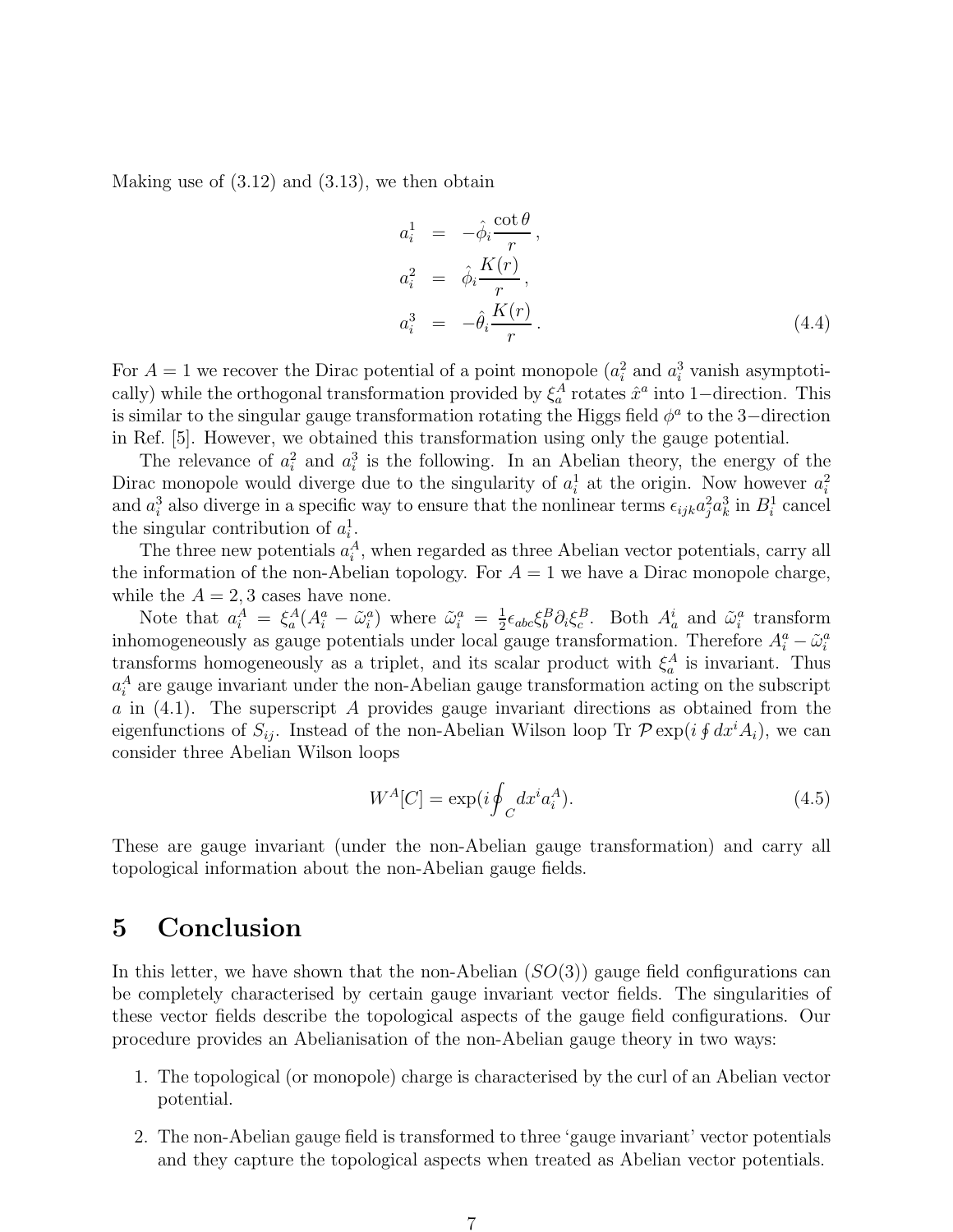Making use of  $(3.12)$  and  $(3.13)$ , we then obtain

$$
a_i^1 = -\hat{\phi}_i \frac{\cot \theta}{r},
$$
  
\n
$$
a_i^2 = \hat{\phi}_i \frac{K(r)}{r},
$$
  
\n
$$
a_i^3 = -\hat{\theta}_i \frac{K(r)}{r}.
$$
\n(4.4)

For  $A = 1$  we recover the Dirac potential of a point monopole  $(a_i^2 \text{ and } a_i^3 \text{ vanish asymptoti-1})$ cally) while the orthogonal transformation provided by  $\xi_a^A$  rotates  $\hat{x}^a$  into 1–direction. This is similar to the singular gauge transformation rotating the Higgs field  $\phi^a$  to the 3-direction in Ref. [5]. However, we obtained this transformation using only the gauge potential.

The relevance of  $a_i^2$  and  $a_i^3$  is the following. In an Abelian theory, the energy of the Dirac monopole would diverge due to the singularity of  $a_i^1$  at the origin. Now however  $a_i^2$ and  $a_i^3$  also diverge in a specific way to ensure that the nonlinear terms  $\epsilon_{ijk}a_j^2a_k^3$  in  $B_i^1$  cancel the singular contribution of  $a_i^1$ .

The three new potentials  $a_i^A$ , when regarded as three Abelian vector potentials, carry all the information of the non-Abelian topology. For  $A = 1$  we have a Dirac monopole charge, while the  $A = 2, 3$  cases have none.

Note that  $a_i^A = \xi_a^A (A_i^a - \tilde{\omega}_i^a)$  where  $\tilde{\omega}_i^a = \frac{1}{2}$  $\frac{1}{2} \epsilon_{abc} \xi_b^B \partial_i \xi_c^B$ . Both  $A_a^i$  and  $\tilde{\omega}_i^a$  transform inhomogeneously as gauge potentials under local gauge transformation. Therefore  $A_i^a - \tilde{\omega}_i^a$ transforms homogeneously as a triplet, and its scalar product with  $\xi_a^A$  is invariant. Thus  $a_i^A$  are gauge invariant under the non-Abelian gauge transformation acting on the subscript  $a$  in  $(4.1)$ . The superscript A provides gauge invariant directions as obtained from the eigenfunctions of  $S_{ij}$ . Instead of the non-Abelian Wilson loop Tr  $\mathcal{P} \exp(i \oint dx^i A_i)$ , we can consider three Abelian Wilson loops

$$
W^{A}[C] = \exp(i\oint_{C} dx^{i} a_{i}^{A}).
$$
\n(4.5)

These are gauge invariant (under the non-Abelian gauge transformation) and carry all topological information about the non-Abelian gauge fields.

# 5 Conclusion

In this letter, we have shown that the non-Abelian  $(SO(3))$  gauge field configurations can be completely characterised by certain gauge invariant vector fields. The singularities of these vector fields describe the topological aspects of the gauge field configurations. Our procedure provides an Abelianisation of the non-Abelian gauge theory in two ways:

- 1. The topological (or monopole) charge is characterised by the curl of an Abelian vector potential.
- 2. The non-Abelian gauge field is transformed to three 'gauge invariant' vector potentials and they capture the topological aspects when treated as Abelian vector potentials.